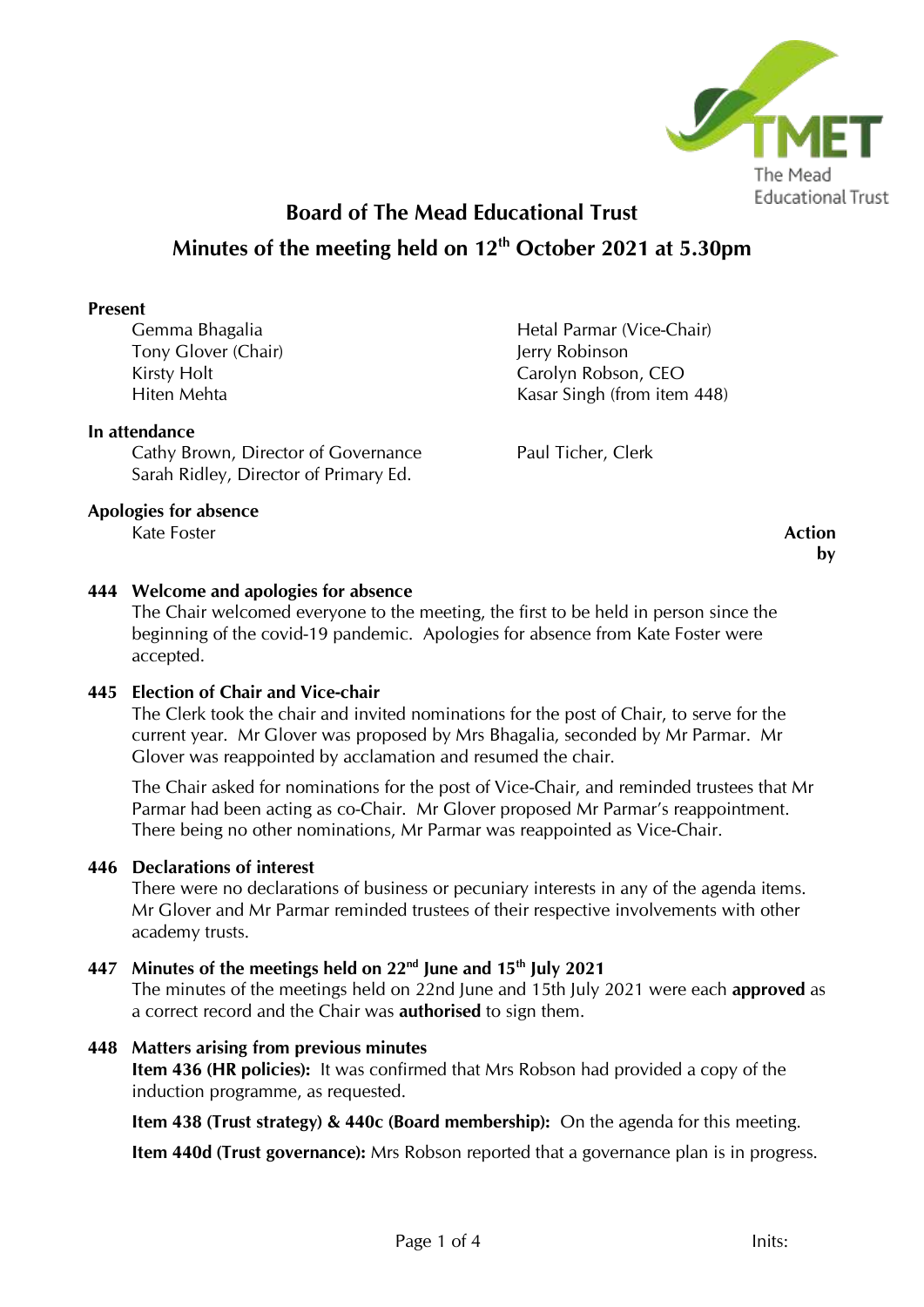

# **Board of The Mead Educational Trust Minutes of the meeting held on 12th October 2021 at 5.30pm**

## **Present**

Gemma Bhagalia Tony Glover (Chair) Kirsty Holt Hiten Mehta

## **In attendance**

Cathy Brown, Director of Governance Sarah Ridley, Director of Primary Ed.

**Apologies for absence**

Kate Foster **Action** 

# Hetal Parmar (Vice-Chair) Jerry Robinson Carolyn Robson, CEO Kasar Singh (from item 448)

Paul Ticher, Clerk

**by**

## **444 Welcome and apologies for absence**

The Chair welcomed everyone to the meeting, the first to be held in person since the beginning of the covid-19 pandemic. Apologies for absence from Kate Foster were accepted.

## **445 Election of Chair and Vice-chair**

The Clerk took the chair and invited nominations for the post of Chair, to serve for the current year. Mr Glover was proposed by Mrs Bhagalia, seconded by Mr Parmar. Mr Glover was reappointed by acclamation and resumed the chair.

The Chair asked for nominations for the post of Vice-Chair, and reminded trustees that Mr Parmar had been acting as co-Chair. Mr Glover proposed Mr Parmar's reappointment. There being no other nominations, Mr Parmar was reappointed as Vice-Chair.

## **446 Declarations of interest**

There were no declarations of business or pecuniary interests in any of the agenda items. Mr Glover and Mr Parmar reminded trustees of their respective involvements with other academy trusts.

# **447 Minutes of the meetings held on 22nd June and 15th July 2021**

The minutes of the meetings held on 22nd June and 15th July 2021 were each **approved** as a correct record and the Chair was **authorised** to sign them.

## **448 Matters arising from previous minutes**

**Item 436 (HR policies):** It was confirmed that Mrs Robson had provided a copy of the induction programme, as requested.

**Item 438 (Trust strategy) & 440c (Board membership):** On the agenda for this meeting.

**Item 440d (Trust governance):** Mrs Robson reported that a governance plan is in progress.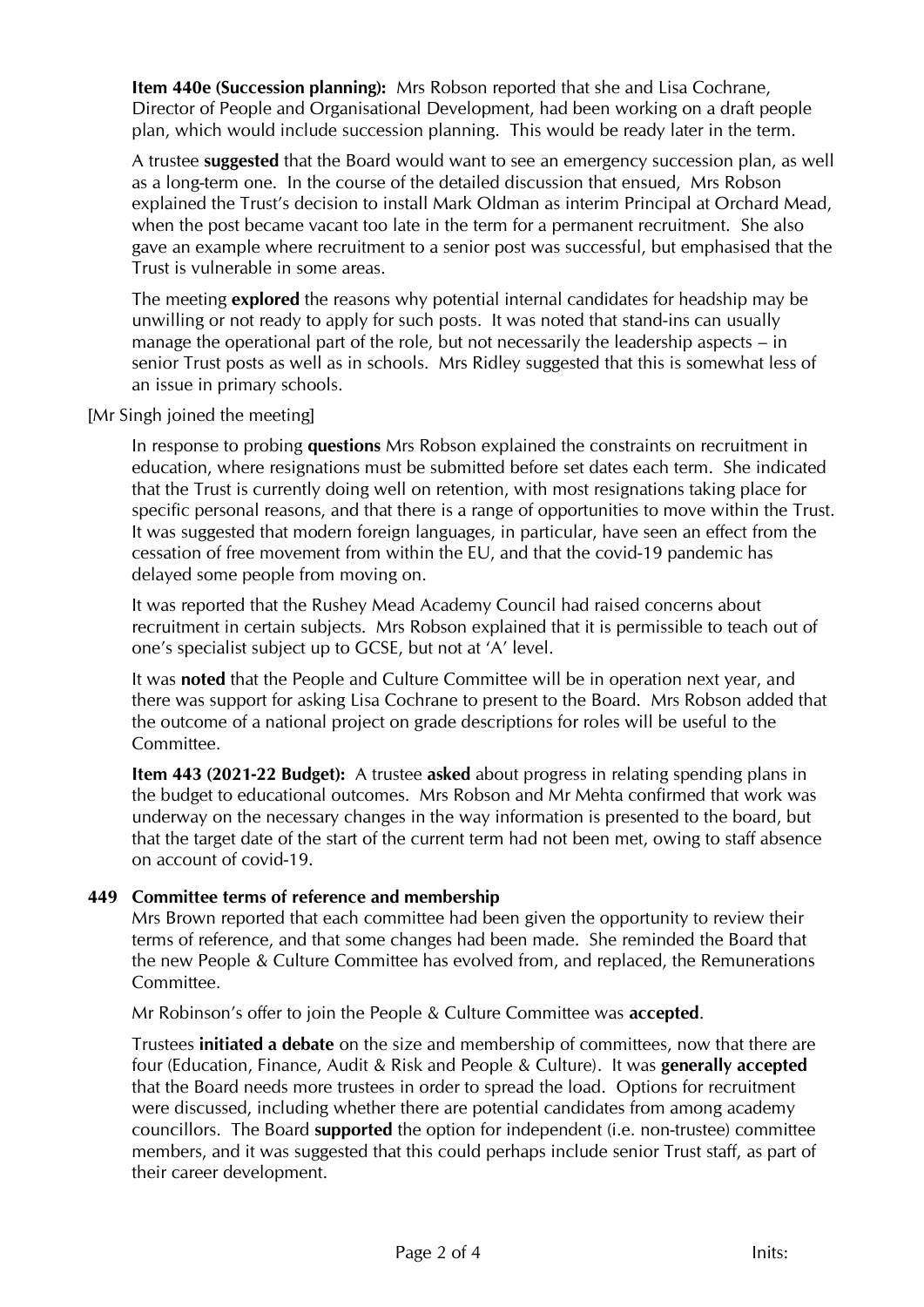**Item 440e (Succession planning):** Mrs Robson reported that she and Lisa Cochrane, Director of People and Organisational Development, had been working on a draft people plan, which would include succession planning. This would be ready later in the term.

A trustee **suggested** that the Board would want to see an emergency succession plan, as well as a long-term one. In the course of the detailed discussion that ensued, Mrs Robson explained the Trust's decision to install Mark Oldman as interim Principal at Orchard Mead, when the post became vacant too late in the term for a permanent recruitment. She also gave an example where recruitment to a senior post was successful, but emphasised that the Trust is vulnerable in some areas.

The meeting **explored** the reasons why potential internal candidates for headship may be unwilling or not ready to apply for such posts. It was noted that stand-ins can usually manage the operational part of the role, but not necessarily the leadership aspects – in senior Trust posts as well as in schools. Mrs Ridley suggested that this is somewhat less of an issue in primary schools.

[Mr Singh joined the meeting]

In response to probing **questions** Mrs Robson explained the constraints on recruitment in education, where resignations must be submitted before set dates each term. She indicated that the Trust is currently doing well on retention, with most resignations taking place for specific personal reasons, and that there is a range of opportunities to move within the Trust. It was suggested that modern foreign languages, in particular, have seen an effect from the cessation of free movement from within the EU, and that the covid-19 pandemic has delayed some people from moving on.

It was reported that the Rushey Mead Academy Council had raised concerns about recruitment in certain subjects. Mrs Robson explained that it is permissible to teach out of one's specialist subject up to GCSE, but not at 'A' level.

It was **noted** that the People and Culture Committee will be in operation next year, and there was support for asking Lisa Cochrane to present to the Board. Mrs Robson added that the outcome of a national project on grade descriptions for roles will be useful to the Committee.

**Item 443 (2021-22 Budget):** A trustee **asked** about progress in relating spending plans in the budget to educational outcomes. Mrs Robson and Mr Mehta confirmed that work was underway on the necessary changes in the way information is presented to the board, but that the target date of the start of the current term had not been met, owing to staff absence on account of covid-19.

# **449 Committee terms of reference and membership**

Mrs Brown reported that each committee had been given the opportunity to review their terms of reference, and that some changes had been made. She reminded the Board that the new People & Culture Committee has evolved from, and replaced, the Remunerations Committee.

Mr Robinson's offer to join the People & Culture Committee was **accepted**.

Trustees **initiated a debate** on the size and membership of committees, now that there are four (Education, Finance, Audit & Risk and People & Culture). It was **generally accepted** that the Board needs more trustees in order to spread the load. Options for recruitment were discussed, including whether there are potential candidates from among academy councillors. The Board **supported** the option for independent (i.e. non-trustee) committee members, and it was suggested that this could perhaps include senior Trust staff, as part of their career development.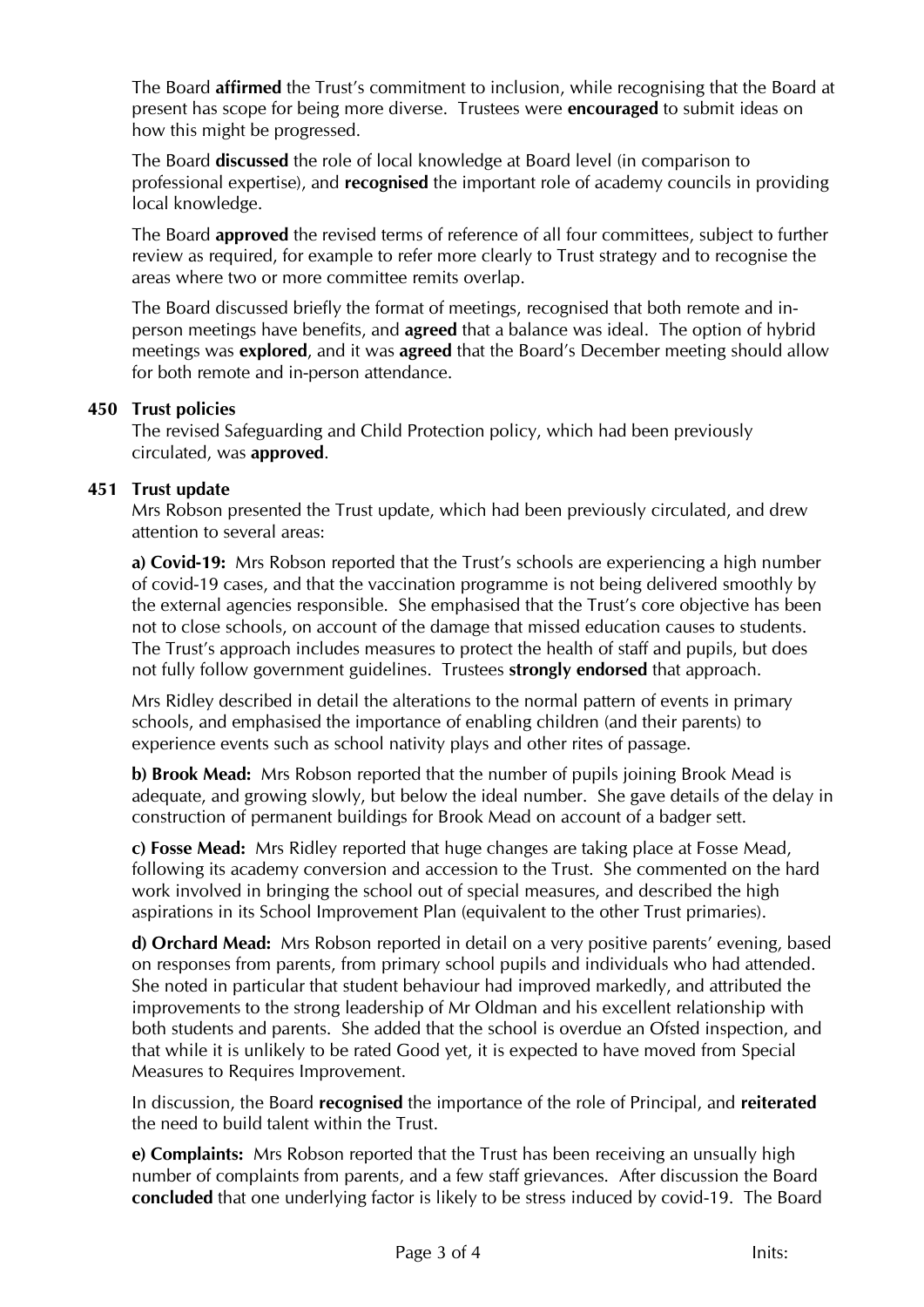The Board **affirmed** the Trust's commitment to inclusion, while recognising that the Board at present has scope for being more diverse. Trustees were **encouraged** to submit ideas on how this might be progressed.

The Board **discussed** the role of local knowledge at Board level (in comparison to professional expertise), and **recognised** the important role of academy councils in providing local knowledge.

The Board **approved** the revised terms of reference of all four committees, subject to further review as required, for example to refer more clearly to Trust strategy and to recognise the areas where two or more committee remits overlap.

The Board discussed briefly the format of meetings, recognised that both remote and inperson meetings have benefits, and **agreed** that a balance was ideal. The option of hybrid meetings was **explored**, and it was **agreed** that the Board's December meeting should allow for both remote and in-person attendance.

## **450 Trust policies**

The revised Safeguarding and Child Protection policy, which had been previously circulated, was **approved**.

## **451 Trust update**

Mrs Robson presented the Trust update, which had been previously circulated, and drew attention to several areas:

**a) Covid-19:** Mrs Robson reported that the Trust's schools are experiencing a high number of covid-19 cases, and that the vaccination programme is not being delivered smoothly by the external agencies responsible. She emphasised that the Trust's core objective has been not to close schools, on account of the damage that missed education causes to students. The Trust's approach includes measures to protect the health of staff and pupils, but does not fully follow government guidelines. Trustees **strongly endorsed** that approach.

Mrs Ridley described in detail the alterations to the normal pattern of events in primary schools, and emphasised the importance of enabling children (and their parents) to experience events such as school nativity plays and other rites of passage.

**b) Brook Mead:** Mrs Robson reported that the number of pupils joining Brook Mead is adequate, and growing slowly, but below the ideal number. She gave details of the delay in construction of permanent buildings for Brook Mead on account of a badger sett.

**c) Fosse Mead:** Mrs Ridley reported that huge changes are taking place at Fosse Mead, following its academy conversion and accession to the Trust. She commented on the hard work involved in bringing the school out of special measures, and described the high aspirations in its School Improvement Plan (equivalent to the other Trust primaries).

**d) Orchard Mead:** Mrs Robson reported in detail on a very positive parents' evening, based on responses from parents, from primary school pupils and individuals who had attended. She noted in particular that student behaviour had improved markedly, and attributed the improvements to the strong leadership of Mr Oldman and his excellent relationship with both students and parents. She added that the school is overdue an Ofsted inspection, and that while it is unlikely to be rated Good yet, it is expected to have moved from Special Measures to Requires Improvement.

In discussion, the Board **recognised** the importance of the role of Principal, and **reiterated** the need to build talent within the Trust.

**e) Complaints:** Mrs Robson reported that the Trust has been receiving an unsually high number of complaints from parents, and a few staff grievances. After discussion the Board **concluded** that one underlying factor is likely to be stress induced by covid-19. The Board